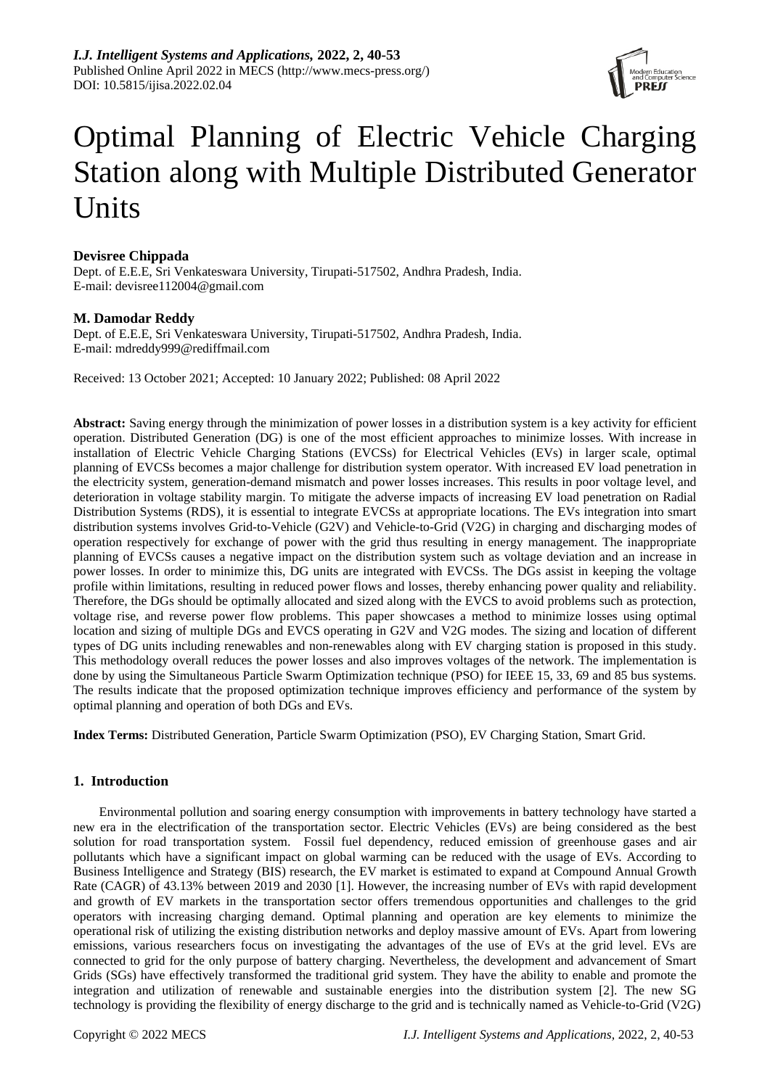

# Optimal Planning of Electric Vehicle Charging Station along with Multiple Distributed Generator Units

# **Devisree Chippada**

Dept. of E.E.E, Sri Venkateswara University, Tirupati-517502, Andhra Pradesh, India. E-mail: [devisree112004@gmail.com](mailto:devisree112004@gmail.com)

# **M. Damodar Reddy**

Dept. of E.E.E, Sri Venkateswara University, Tirupati-517502, Andhra Pradesh, India. E-mail: [mdreddy999@rediffmail.com](mailto:mdreddy999@rediffmail.com)

Received: 13 October 2021; Accepted: 10 January 2022; Published: 08 April 2022

**Abstract:** Saving energy through the minimization of power losses in a distribution system is a key activity for efficient operation. Distributed Generation (DG) is one of the most efficient approaches to minimize losses. With increase in installation of Electric Vehicle Charging Stations (EVCSs) for Electrical Vehicles (EVs) in larger scale, optimal planning of EVCSs becomes a major challenge for distribution system operator. With increased EV load penetration in the electricity system, generation-demand mismatch and power losses increases. This results in poor voltage level, and deterioration in voltage stability margin. To mitigate the adverse impacts of increasing EV load penetration on Radial Distribution Systems (RDS), it is essential to integrate EVCSs at appropriate locations. The EVs integration into smart distribution systems involves Grid-to-Vehicle (G2V) and Vehicle-to-Grid (V2G) in charging and discharging modes of operation respectively for exchange of power with the grid thus resulting in energy management. The inappropriate planning of EVCSs causes a negative impact on the distribution system such as voltage deviation and an increase in power losses. In order to minimize this, DG units are integrated with EVCSs. The DGs assist in keeping the voltage profile within limitations, resulting in reduced power flows and losses, thereby enhancing power quality and reliability. Therefore, the DGs should be optimally allocated and sized along with the EVCS to avoid problems such as protection, voltage rise, and reverse power flow problems. This paper showcases a method to minimize losses using optimal location and sizing of multiple DGs and EVCS operating in G2V and V2G modes. The sizing and location of different types of DG units including renewables and non-renewables along with EV charging station is proposed in this study. This methodology overall reduces the power losses and also improves voltages of the network. The implementation is done by using the Simultaneous Particle Swarm Optimization technique (PSO) for IEEE 15, 33, 69 and 85 bus systems. The results indicate that the proposed optimization technique improves efficiency and performance of the system by optimal planning and operation of both DGs and EVs.

**Index Terms:** Distributed Generation, Particle Swarm Optimization (PSO), EV Charging Station, Smart Grid.

# **1. Introduction**

Environmental pollution and soaring energy consumption with improvements in battery technology have started a new era in the electrification of the transportation sector. Electric Vehicles (EVs) are being considered as the best solution for road transportation system. Fossil fuel dependency, reduced emission of greenhouse gases and air pollutants which have a significant impact on global warming can be reduced with the usage of EVs. According to Business Intelligence and Strategy (BIS) research, the EV market is estimated to expand at Compound Annual Growth Rate (CAGR) of 43.13% between 2019 and 2030 [1]. However, the increasing number of EVs with rapid development and growth of EV markets in the transportation sector offers tremendous opportunities and challenges to the grid operators with increasing charging demand. Optimal planning and operation are key elements to minimize the operational risk of utilizing the existing distribution networks and deploy massive amount of EVs. Apart from lowering emissions, various researchers focus on investigating the advantages of the use of EVs at the grid level. EVs are connected to grid for the only purpose of battery charging. Nevertheless, the development and advancement of Smart Grids (SGs) have effectively transformed the traditional grid system. They have the ability to enable and promote the integration and utilization of renewable and sustainable energies into the distribution system [2]. The new SG technology is providing the flexibility of energy discharge to the grid and is technically named as Vehicle-to-Grid (V2G)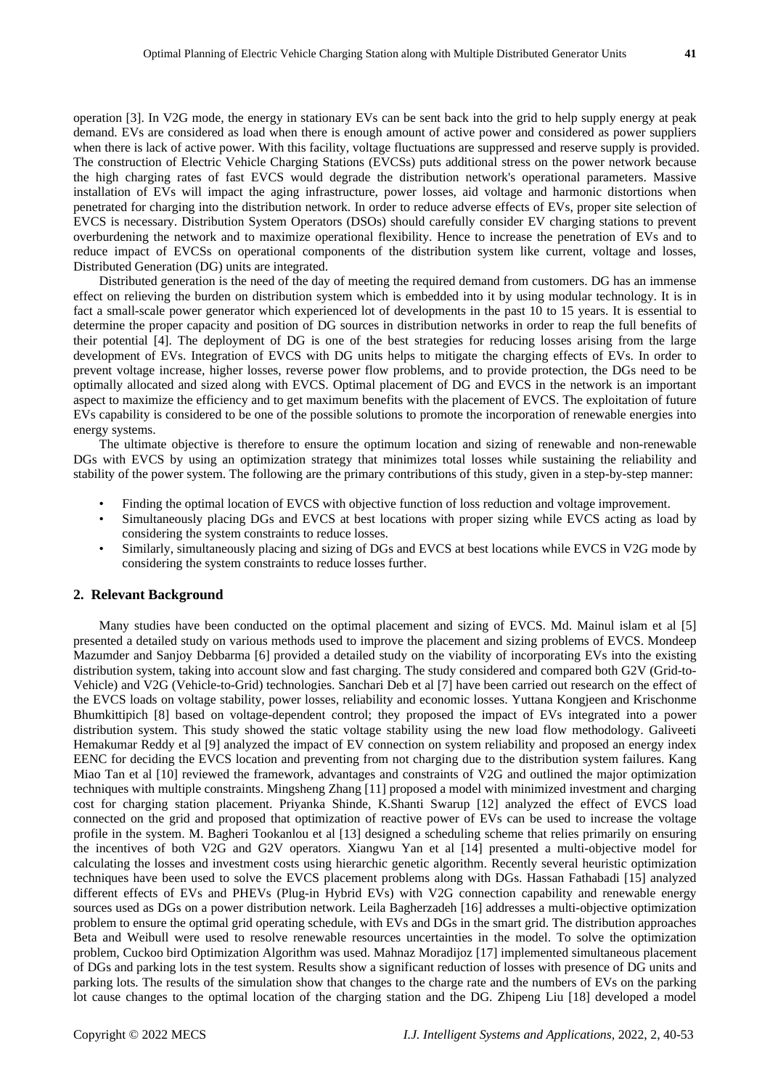demand. EVs are considered as load when there is enough amount of active power and considered as power suppliers when there is lack of active power. With this facility, voltage fluctuations are suppressed and reserve supply is provided. The construction of Electric Vehicle Charging Stations (EVCSs) puts additional stress on the power network because the high charging rates of fast EVCS would degrade the distribution network's operational parameters. Massive installation of EVs will impact the aging infrastructure, power losses, aid voltage and harmonic distortions when penetrated for charging into the distribution network. In order to reduce adverse effects of EVs, proper site selection of EVCS is necessary. Distribution System Operators (DSOs) should carefully consider EV charging stations to prevent overburdening the network and to maximize operational flexibility. Hence to increase the penetration of EVs and to reduce impact of EVCSs on operational components of the distribution system like current, voltage and losses, Distributed Generation (DG) units are integrated.

Distributed generation is the need of the day of meeting the required demand from customers. DG has an immense effect on relieving the burden on distribution system which is embedded into it by using modular technology. It is in fact a small-scale power generator which experienced lot of developments in the past 10 to 15 years. It is essential to determine the proper capacity and position of DG sources in distribution networks in order to reap the full benefits of their potential [4]. The deployment of DG is one of the best strategies for reducing losses arising from the large development of EVs. Integration of EVCS with DG units helps to mitigate the charging effects of EVs. In order to prevent voltage increase, higher losses, reverse power flow problems, and to provide protection, the DGs need to be optimally allocated and sized along with EVCS. Optimal placement of DG and EVCS in the network is an important aspect to maximize the efficiency and to get maximum benefits with the placement of EVCS. The exploitation of future EVs capability is considered to be one of the possible solutions to promote the incorporation of renewable energies into energy systems.

The ultimate objective is therefore to ensure the optimum location and sizing of renewable and non-renewable DGs with EVCS by using an optimization strategy that minimizes total losses while sustaining the reliability and stability of the power system. The following are the primary contributions of this study, given in a step-by-step manner:

- Finding the optimal location of EVCS with objective function of loss reduction and voltage improvement.
- Simultaneously placing DGs and EVCS at best locations with proper sizing while EVCS acting as load by considering the system constraints to reduce losses.
- Similarly, simultaneously placing and sizing of DGs and EVCS at best locations while EVCS in V2G mode by considering the system constraints to reduce losses further.

# **2. Relevant Background**

Many studies have been conducted on the optimal placement and sizing of EVCS. Md. Mainul islam et al [5] presented a detailed study on various methods used to improve the placement and sizing problems of EVCS. Mondeep Mazumder and Sanjoy Debbarma [6] provided a detailed study on the viability of incorporating EVs into the existing distribution system, taking into account slow and fast charging. The study considered and compared both G2V (Grid-to-Vehicle) and V2G (Vehicle-to-Grid) technologies. Sanchari Deb et al [7] have been carried out research on the effect of the EVCS loads on voltage stability, power losses, reliability and economic losses. Yuttana Kongjeen and Krischonme Bhumkittipich [8] based on voltage-dependent control; they proposed the impact of EVs integrated into a power distribution system. This study showed the static voltage stability using the new load flow methodology. Galiveeti Hemakumar Reddy et al [9] analyzed the impact of EV connection on system reliability and proposed an energy index EENC for deciding the EVCS location and preventing from not charging due to the distribution system failures. Kang Miao Tan et al [10] reviewed the framework, advantages and constraints of V2G and outlined the major optimization techniques with multiple constraints. Mingsheng Zhang [11] proposed a model with minimized investment and charging cost for charging station placement. Priyanka Shinde, K.Shanti Swarup [12] analyzed the effect of EVCS load connected on the grid and proposed that optimization of reactive power of EVs can be used to increase the voltage profile in the system. M. Bagheri Tookanlou et al [13] designed a scheduling scheme that relies primarily on ensuring the incentives of both V2G and G2V operators. Xiangwu Yan et al [14] presented a multi-objective model for calculating the losses and investment costs using hierarchic genetic algorithm. Recently several heuristic optimization techniques have been used to solve the EVCS placement problems along with DGs. Hassan Fathabadi [15] analyzed different effects of EVs and PHEVs (Plug-in Hybrid EVs) with V2G connection capability and renewable energy sources used as DGs on a power distribution network. Leila Bagherzadeh [16] addresses a multi-objective optimization problem to ensure the optimal grid operating schedule, with EVs and DGs in the smart grid. The distribution approaches Beta and Weibull were used to resolve renewable resources uncertainties in the model. To solve the optimization problem, Cuckoo bird Optimization Algorithm was used. Mahnaz Moradijoz [17] implemented simultaneous placement of DGs and parking lots in the test system. Results show a significant reduction of losses with presence of DG units and parking lots. The results of the simulation show that changes to the charge rate and the numbers of EVs on the parking lot cause changes to the optimal location of the charging station and the DG. Zhipeng Liu [18] developed a model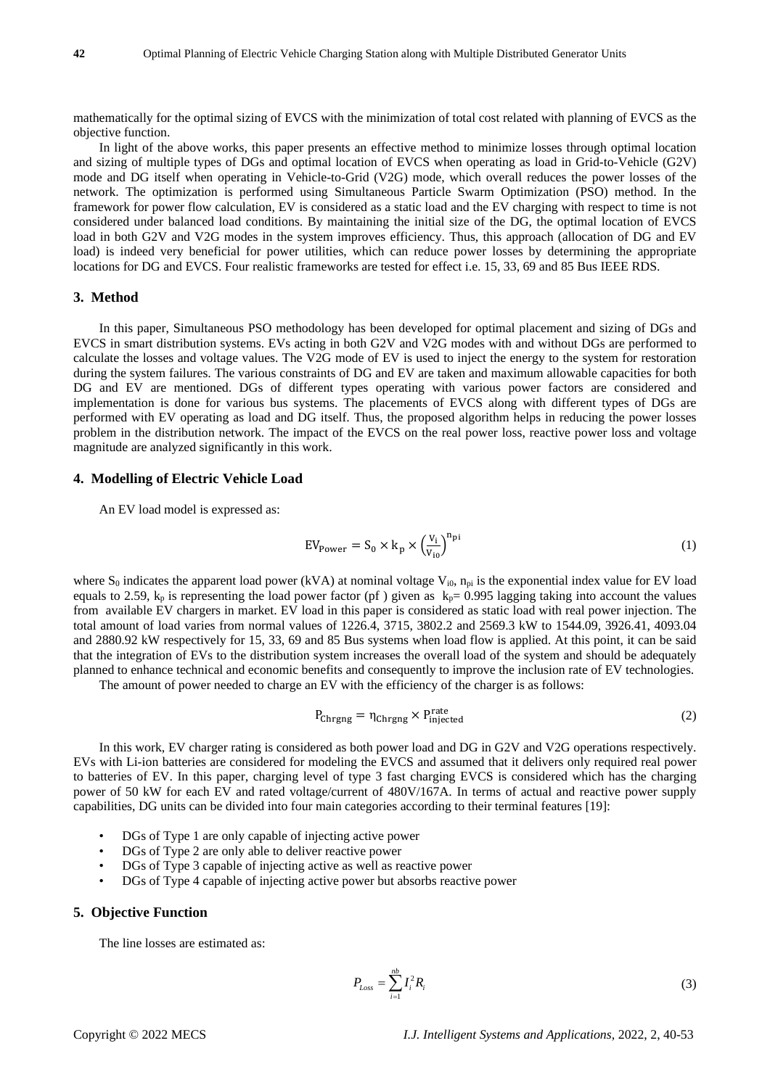mathematically for the optimal sizing of EVCS with the minimization of total cost related with planning of EVCS as the objective function.

In light of the above works, this paper presents an effective method to minimize losses through optimal location and sizing of multiple types of DGs and optimal location of EVCS when operating as load in Grid-to-Vehicle (G2V) mode and DG itself when operating in Vehicle-to-Grid (V2G) mode, which overall reduces the power losses of the network. The optimization is performed using Simultaneous Particle Swarm Optimization (PSO) method. In the framework for power flow calculation, EV is considered as a static load and the EV charging with respect to time is not considered under balanced load conditions. By maintaining the initial size of the DG, the optimal location of EVCS load in both G2V and V2G modes in the system improves efficiency. Thus, this approach (allocation of DG and EV load) is indeed very beneficial for power utilities, which can reduce power losses by determining the appropriate locations for DG and EVCS. Four realistic frameworks are tested for effect i.e. 15, 33, 69 and 85 Bus IEEE RDS.

# **3. Method**

In this paper, Simultaneous PSO methodology has been developed for optimal placement and sizing of DGs and EVCS in smart distribution systems. EVs acting in both G2V and V2G modes with and without DGs are performed to calculate the losses and voltage values. The V2G mode of EV is used to inject the energy to the system for restoration during the system failures. The various constraints of DG and EV are taken and maximum allowable capacities for both DG and EV are mentioned. DGs of different types operating with various power factors are considered and implementation is done for various bus systems. The placements of EVCS along with different types of DGs are performed with EV operating as load and DG itself. Thus, the proposed algorithm helps in reducing the power losses problem in the distribution network. The impact of the EVCS on the real power loss, reactive power loss and voltage magnitude are analyzed significantly in this work.

## **4. Modelling of Electric Vehicle Load**

An EV load model is expressed as:

$$
EV_{Power} = S_0 \times k_p \times \left(\frac{v_i}{v_{io}}\right)^{n_{pi}} \tag{1}
$$

where  $S_0$  indicates the apparent load power (kVA) at nominal voltage  $V_{i0}$ ,  $n_{pi}$  is the exponential index value for EV load equals to 2.59,  $k_p$  is representing the load power factor (pf) given as  $k_p = 0.995$  lagging taking into account the values from available EV chargers in market. EV load in this paper is considered as static load with real power injection. The total amount of load varies from normal values of 1226.4, 3715, 3802.2 and 2569.3 kW to 1544.09, 3926.41, 4093.04 and 2880.92 kW respectively for 15, 33, 69 and 85 Bus systems when load flow is applied. At this point, it can be said that the integration of EVs to the distribution system increases the overall load of the system and should be adequately planned to enhance technical and economic benefits and consequently to improve the inclusion rate of EV technologies.

The amount of power needed to charge an EV with the efficiency of the charger is as follows:

$$
P_{\text{Chrgng}} = \eta_{\text{Chrgng}} \times P_{\text{injected}}^{\text{rate}} \tag{2}
$$

In this work, EV charger rating is considered as both power load and DG in G2V and V2G operations respectively. EVs with Li-ion batteries are considered for modeling the EVCS and assumed that it delivers only required real power to batteries of EV. In this paper, charging level of type 3 fast charging EVCS is considered which has the charging power of 50 kW for each EV and rated voltage/current of 480V/167A. In terms of actual and reactive power supply capabilities, DG units can be divided into four main categories according to their terminal features [19]:

- DGs of Type 1 are only capable of injecting active power
- DGs of Type 2 are only able to deliver reactive power
- DGs of Type 3 capable of injecting active as well as reactive power
- DGs of Type 4 capable of injecting active power but absorbs reactive power

# **5. Objective Function**

The line losses are estimated as:

$$
P_{Loss} = \sum_{i=1}^{nb} I_i^2 R_i \tag{3}
$$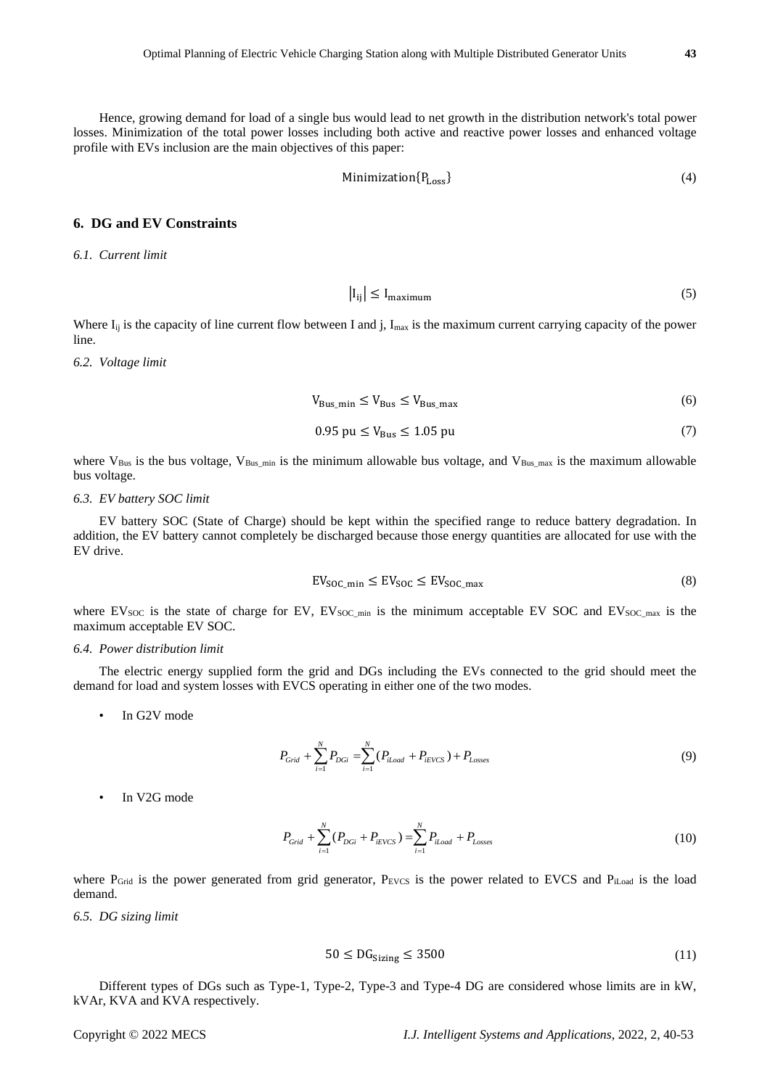Hence, growing demand for load of a single bus would lead to net growth in the distribution network's total power losses. Minimization of the total power losses including both active and reactive power losses and enhanced voltage profile with EVs inclusion are the main objectives of this paper:

$$
Minimization\{P_{Loss}\}\tag{4}
$$

# **6. DG and EV Constraints**

*6.1. Current limit*

$$
|I_{ij}| \le I_{\text{maximum}} \tag{5}
$$

Where  $I_{ij}$  is the capacity of line current flow between I and j,  $I_{max}$  is the maximum current carrying capacity of the power line.

*6.2. Voltage limit*

$$
V_{\text{Bus\_min}} \le V_{\text{Bus}} \le V_{\text{Bus\_max}} \tag{6}
$$

$$
0.95 \text{ pu} \le V_{\text{Bus}} \le 1.05 \text{ pu} \tag{7}
$$

where  $V_{Bus}$  is the bus voltage,  $V_{Bus,min}$  is the minimum allowable bus voltage, and  $V_{Bus,max}$  is the maximum allowable bus voltage.

#### *6.3. EV battery SOC limit*

EV battery SOC (State of Charge) should be kept within the specified range to reduce battery degradation. In addition, the EV battery cannot completely be discharged because those energy quantities are allocated for use with the EV drive.

$$
EV_{SOC\_min} \le EV_{SOC} \le EV_{SOC\_max}
$$
 (8)

where EV<sub>SOC</sub> is the state of charge for EV, EV<sub>SOC\_min</sub> is the minimum acceptable EV SOC and EV<sub>SOC\_max</sub> is the maximum acceptable EV SOC.

#### *6.4. Power distribution limit*

The electric energy supplied form the grid and DGs including the EVs connected to the grid should meet the demand for load and system losses with EVCS operating in either one of the two modes.

In G2V mode

$$
P_{Grid} + \sum_{i=1}^{N} P_{DGi} = \sum_{i=1}^{N} (P_{iLoad} + P_{iEVCS}) + P_{Losses}
$$
\n(9)

In V2G mode

$$
P_{\text{Grid}} + \sum_{i=1}^{N} (P_{\text{DG}i} + P_{\text{iEVCS}}) = \sum_{i=1}^{N} P_{\text{iLoad}} + P_{\text{Losses}} \tag{10}
$$

where  $P_{\text{Grid}}$  is the power generated from grid generator,  $P_{\text{EVCS}}$  is the power related to EVCS and  $P_{\text{iLoad}}$  is the load demand.

*6.5. DG sizing limit*

$$
50 \le DG_{\text{Sizing}} \le 3500 \tag{11}
$$

Different types of DGs such as Type-1, Type-2, Type-3 and Type-4 DG are considered whose limits are in kW, kVAr, KVA and KVA respectively.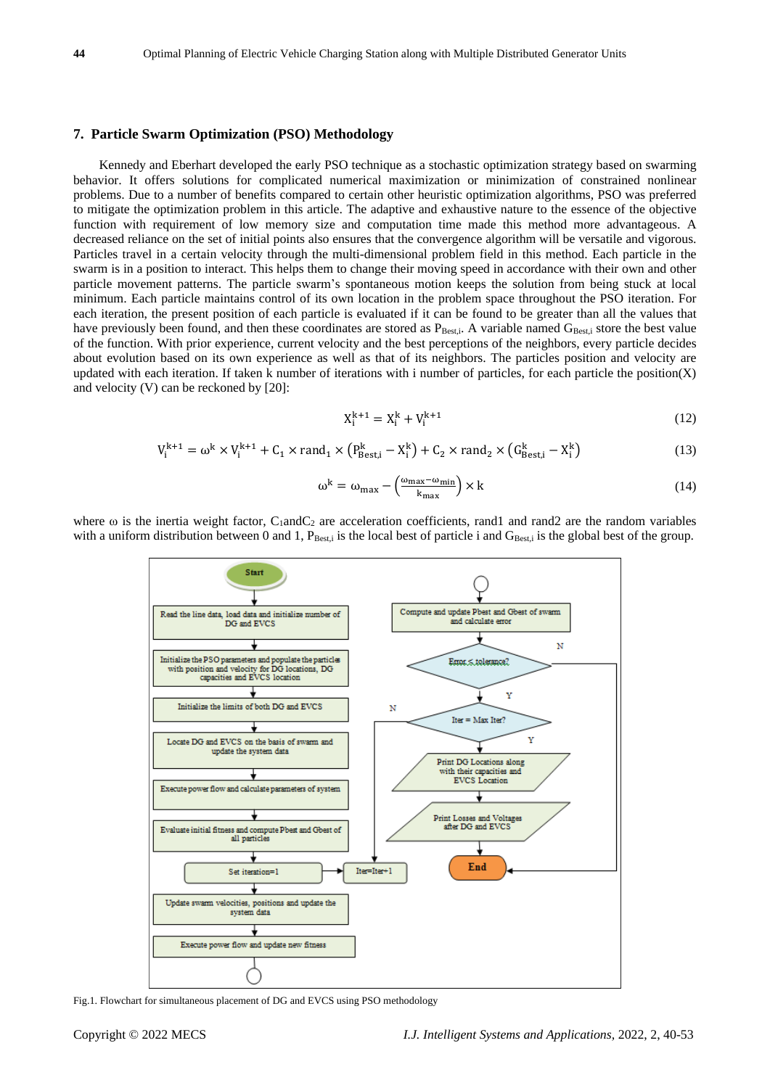#### **7. Particle Swarm Optimization (PSO) Methodology**

Kennedy and Eberhart developed the early PSO technique as a stochastic optimization strategy based on swarming behavior. It offers solutions for complicated numerical maximization or minimization of constrained nonlinear problems. Due to a number of benefits compared to certain other heuristic optimization algorithms, PSO was preferred to mitigate the optimization problem in this article. The adaptive and exhaustive nature to the essence of the objective function with requirement of low memory size and computation time made this method more advantageous. A decreased reliance on the set of initial points also ensures that the convergence algorithm will be versatile and vigorous. Particles travel in a certain velocity through the multi-dimensional problem field in this method. Each particle in the swarm is in a position to interact. This helps them to change their moving speed in accordance with their own and other particle movement patterns. The particle swarm's spontaneous motion keeps the solution from being stuck at local minimum. Each particle maintains control of its own location in the problem space throughout the PSO iteration. For each iteration, the present position of each particle is evaluated if it can be found to be greater than all the values that have previously been found, and then these coordinates are stored as  $P_{\text{Best},i}$ . A variable named  $G_{\text{Best},i}$  store the best value of the function. With prior experience, current velocity and the best perceptions of the neighbors, every particle decides about evolution based on its own experience as well as that of its neighbors. The particles position and velocity are updated with each iteration. If taken k number of iterations with i number of particles, for each particle the position(X) and velocity (V) can be reckoned by [20]:

$$
X_i^{k+1} = X_i^k + V_i^{k+1}
$$
 (12)

$$
V_i^{k+1} = \omega^k \times V_i^{k+1} + C_1 \times \text{rand}_1 \times (P_{\text{Best},i}^k - X_i^k) + C_2 \times \text{rand}_2 \times (G_{\text{Best},i}^k - X_i^k)
$$
(13)

$$
\omega^{k} = \omega_{\text{max}} - \left(\frac{\omega_{\text{max}} - \omega_{\text{min}}}{k_{\text{max}}}\right) \times k
$$
\n(14)

where  $\omega$  is the inertia weight factor, C<sub>1</sub>andC<sub>2</sub> are acceleration coefficients, rand1 and rand2 are the random variables with a uniform distribution between 0 and 1,  $P_{\text{Best},i}$  is the local best of particle i and  $G_{\text{Best},i}$  is the global best of the group.



Fig.1. Flowchart for simultaneous placement of DG and EVCS using PSO methodology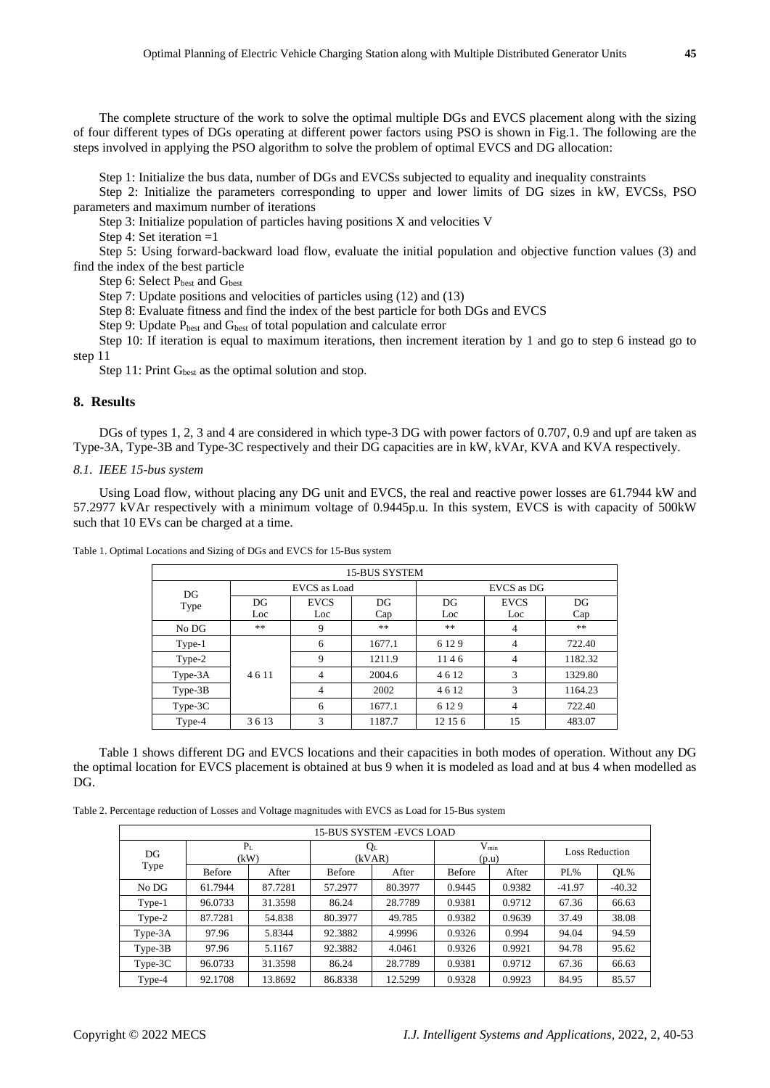The complete structure of the work to solve the optimal multiple DGs and EVCS placement along with the sizing of four different types of DGs operating at different power factors using PSO is shown in Fig.1. The following are the steps involved in applying the PSO algorithm to solve the problem of optimal EVCS and DG allocation:

Step 1: Initialize the bus data, number of DGs and EVCSs subjected to equality and inequality constraints

Step 2: Initialize the parameters corresponding to upper and lower limits of DG sizes in kW, EVCSs, PSO parameters and maximum number of iterations

Step 3: Initialize population of particles having positions X and velocities V

Step 4: Set iteration =1

Step 5: Using forward-backward load flow, evaluate the initial population and objective function values (3) and find the index of the best particle

Step 6: Select P<sub>best</sub> and G<sub>best</sub>

Step 7: Update positions and velocities of particles using (12) and (13)

Step 8: Evaluate fitness and find the index of the best particle for both DGs and EVCS

Step 9: Update P<sub>best</sub> and G<sub>best</sub> of total population and calculate error

Step 10: If iteration is equal to maximum iterations, then increment iteration by 1 and go to step 6 instead go to step 11

Step 11: Print  $G_{best}$  as the optimal solution and stop.

# **8. Results**

DGs of types 1, 2, 3 and 4 are considered in which type-3 DG with power factors of 0.707, 0.9 and upf are taken as Type-3A, Type-3B and Type-3C respectively and their DG capacities are in kW, kVAr, KVA and KVA respectively.

#### *8.1. IEEE 15-bus system*

Using Load flow, without placing any DG unit and EVCS, the real and reactive power losses are 61.7944 kW and 57.2977 kVAr respectively with a minimum voltage of 0.9445p.u. In this system, EVCS is with capacity of 500kW such that 10 EVs can be charged at a time.

|           | <b>15-BUS SYSTEM</b> |              |        |         |                |         |  |  |  |  |  |  |
|-----------|----------------------|--------------|--------|---------|----------------|---------|--|--|--|--|--|--|
| DG        |                      | EVCS as Load |        |         | EVCS as DG     |         |  |  |  |  |  |  |
| Type      | DG                   | <b>EVCS</b>  | DG     | DG      | <b>EVCS</b>    | DG      |  |  |  |  |  |  |
|           | Loc                  | Loc          | Cap    | Loc     | Loc            | Cap     |  |  |  |  |  |  |
| No DG     | **                   | 9            | **     | **      | $\overline{4}$ | **      |  |  |  |  |  |  |
| Type-1    |                      | 6            | 1677.1 | 6 1 2 9 | $\overline{4}$ | 722.40  |  |  |  |  |  |  |
| Type-2    |                      | 9            | 1211.9 | 1146    | $\overline{4}$ | 1182.32 |  |  |  |  |  |  |
| $Type-3A$ | 4611                 | 4            | 2004.6 | 4612    | 3              | 1329.80 |  |  |  |  |  |  |
| $Type-3B$ |                      | 4            | 2002   | 4612    | 3              | 1164.23 |  |  |  |  |  |  |
| Type-3C   |                      | 6            | 1677.1 | 6 1 2 9 | $\overline{4}$ | 722.40  |  |  |  |  |  |  |
| Type-4    | 3613                 | 3            | 1187.7 | 12 15 6 | 15             | 483.07  |  |  |  |  |  |  |

Table 1. Optimal Locations and Sizing of DGs and EVCS for 15-Bus system

Table 1 shows different DG and EVCS locations and their capacities in both modes of operation. Without any DG the optimal location for EVCS placement is obtained at bus 9 when it is modeled as load and at bus 4 when modelled as DG.

Table 2. Percentage reduction of Losses and Voltage magnitudes with EVCS as Load for 15-Bus system

|           |               |         |                   | 15-BUS SYSTEM -EVCS LOAD |                    |        |                       |          |
|-----------|---------------|---------|-------------------|--------------------------|--------------------|--------|-----------------------|----------|
| DG        | $P_L$<br>(kW) |         | $Q_{L}$<br>(kVAR) |                          | $V_{min}$<br>(p.u) |        | <b>Loss Reduction</b> |          |
| Type      | <b>Before</b> | After   | <b>Before</b>     | After                    | <b>Before</b>      | After  | $PL\%$                | OL%      |
| No DG     | 61.7944       | 87.7281 | 57.2977           | 80.3977                  | 0.9445             | 0.9382 | $-41.97$              | $-40.32$ |
| Type-1    | 96.0733       | 31.3598 | 86.24             | 28.7789                  | 0.9381             | 0.9712 | 67.36                 | 66.63    |
| Type-2    | 87.7281       | 54.838  | 80.3977           | 49.785                   | 0.9382             | 0.9639 | 37.49                 | 38.08    |
| $Type-3A$ | 97.96         | 5.8344  | 92.3882           | 4.9996                   | 0.9326             | 0.994  | 94.04                 | 94.59    |
| $Type-3B$ | 97.96         | 5.1167  | 92.3882           | 4.0461                   | 0.9326             | 0.9921 | 94.78                 | 95.62    |
| $Type-3C$ | 96.0733       | 31.3598 | 86.24             | 28.7789                  | 0.9381             | 0.9712 | 67.36                 | 66.63    |
| Type-4    | 92.1708       | 13.8692 | 86.8338           | 12.5299                  | 0.9328             | 0.9923 | 84.95                 | 85.57    |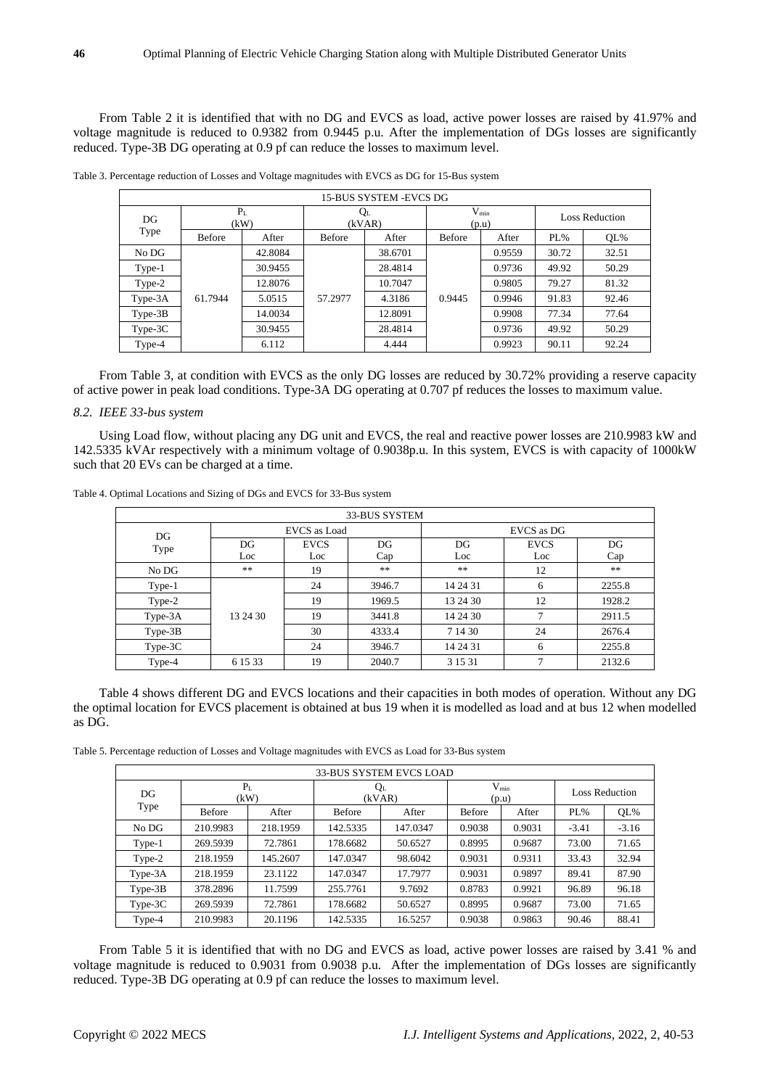From Table 2 it is identified that with no DG and EVCS as load, active power losses are raised by 41.97% and voltage magnitude is reduced to 0.9382 from 0.9445 p.u. After the implementation of DGs losses are significantly reduced. Type-3B DG operating at 0.9 pf can reduce the losses to maximum level.

|           | 15-BUS SYSTEM -EVCS DG |         |               |                   |               |                    |        |                       |  |  |  |
|-----------|------------------------|---------|---------------|-------------------|---------------|--------------------|--------|-----------------------|--|--|--|
| DG        | P <sub>L</sub><br>(kW) |         |               | $Q_{L}$<br>(kVAR) |               | $V_{min}$<br>(p.u) |        | <b>Loss Reduction</b> |  |  |  |
| Type      | <b>Before</b>          | After   | <b>Before</b> | After             | <b>Before</b> | After              | $PL\%$ | OL%                   |  |  |  |
| No DG     |                        | 42.8084 |               | 38.6701           |               | 0.9559             | 30.72  | 32.51                 |  |  |  |
| Type-1    |                        | 30.9455 |               | 28.4814           |               | 0.9736             | 49.92  | 50.29                 |  |  |  |
| Type-2    |                        | 12.8076 |               | 10.7047           |               | 0.9805             | 79.27  | 81.32                 |  |  |  |
| Type-3A   | 61.7944                | 5.0515  | 57.2977       | 4.3186            | 0.9445        | 0.9946             | 91.83  | 92.46                 |  |  |  |
| $Type-3B$ |                        | 14.0034 |               | 12.8091           |               | 0.9908             | 77.34  | 77.64                 |  |  |  |
| $Type-3C$ |                        | 30.9455 |               | 28.4814           |               | 0.9736             | 49.92  | 50.29                 |  |  |  |
| Type-4    |                        | 6.112   |               | 4.444             |               | 0.9923             | 90.11  | 92.24                 |  |  |  |

Table 3. Percentage reduction of Losses and Voltage magnitudes with EVCS as DG for 15-Bus system

From Table 3, at condition with EVCS as the only DG losses are reduced by 30.72% providing a reserve capacity of active power in peak load conditions. Type-3A DG operating at 0.707 pf reduces the losses to maximum value.

#### *8.2. IEEE 33-bus system*

Using Load flow, without placing any DG unit and EVCS, the real and reactive power losses are 210.9983 kW and 142.5335 kVAr respectively with a minimum voltage of 0.9038p.u. In this system, EVCS is with capacity of 1000kW such that 20 EVs can be charged at a time.

|           | 33-BUS SYSTEM |              |        |            |             |        |  |  |  |  |
|-----------|---------------|--------------|--------|------------|-------------|--------|--|--|--|--|
| DG        |               | EVCS as Load |        | EVCS as DG |             |        |  |  |  |  |
| Type      | DG            | <b>EVCS</b>  | DG     | DG         | <b>EVCS</b> | DG     |  |  |  |  |
|           | Loc           | Loc          | Cap    | Loc        | Loc         | Cap    |  |  |  |  |
| No DG     | **            | 19           | $**$   | **         | 12          | **     |  |  |  |  |
| Type-1    |               | 24           | 3946.7 | 14 24 31   | 6           | 2255.8 |  |  |  |  |
| Type-2    |               | 19           | 1969.5 | 13 24 30   | 12          | 1928.2 |  |  |  |  |
| $Type-3A$ | 13 24 30      | 19           | 3441.8 | 14 24 30   | ⇁           | 2911.5 |  |  |  |  |
| $Type-3B$ |               | 30           | 4333.4 | 7 14 30    | 24          | 2676.4 |  |  |  |  |
| Type-3C   |               | 24           | 3946.7 | 14 24 31   | 6           | 2255.8 |  |  |  |  |
| Type-4    | 6 15 33       | 19           | 2040.7 | 3 1 5 3 1  |             | 2132.6 |  |  |  |  |

Table 4. Optimal Locations and Sizing of DGs and EVCS for 33-Bus system

Table 4 shows different DG and EVCS locations and their capacities in both modes of operation. Without any DG the optimal location for EVCS placement is obtained at bus 19 when it is modelled as load and at bus 12 when modelled as DG.

Table 5. Percentage reduction of Losses and Voltage magnitudes with EVCS as Load for 33-Bus system

|           | <b>33-BUS SYSTEM EVCS LOAD</b> |          |                 |          |                    |        |                       |         |  |  |
|-----------|--------------------------------|----------|-----------------|----------|--------------------|--------|-----------------------|---------|--|--|
| DG        | P <sub>L</sub><br>(kW)         |          | $Q_L$<br>(kVAR) |          | $V_{min}$<br>(p.u) |        | <b>Loss Reduction</b> |         |  |  |
| Type      | <b>Before</b>                  | After    | <b>Before</b>   | After    | <b>Before</b>      | After  | $PL\%$                | QL%     |  |  |
| No DG     | 210.9983                       | 218.1959 | 142.5335        | 147.0347 | 0.9038             | 0.9031 | $-3.41$               | $-3.16$ |  |  |
| Type-1    | 269.5939                       | 72.7861  | 178.6682        | 50.6527  | 0.8995             | 0.9687 | 73.00                 | 71.65   |  |  |
| Type-2    | 218.1959                       | 145.2607 | 147.0347        | 98.6042  | 0.9031             | 0.9311 | 33.43                 | 32.94   |  |  |
| Type-3A   | 218.1959                       | 23.1122  | 147.0347        | 17.7977  | 0.9031             | 0.9897 | 89.41                 | 87.90   |  |  |
| $Type-3B$ | 378.2896                       | 11.7599  | 255.7761        | 9.7692   | 0.8783             | 0.9921 | 96.89                 | 96.18   |  |  |
| $Type-3C$ | 269.5939                       | 72.7861  | 178.6682        | 50.6527  | 0.8995             | 0.9687 | 73.00                 | 71.65   |  |  |
| Type-4    | 210.9983                       | 20.1196  | 142.5335        | 16.5257  | 0.9038             | 0.9863 | 90.46                 | 88.41   |  |  |

From Table 5 it is identified that with no DG and EVCS as load, active power losses are raised by 3.41 % and voltage magnitude is reduced to 0.9031 from 0.9038 p.u. After the implementation of DGs losses are significantly reduced. Type-3B DG operating at 0.9 pf can reduce the losses to maximum level.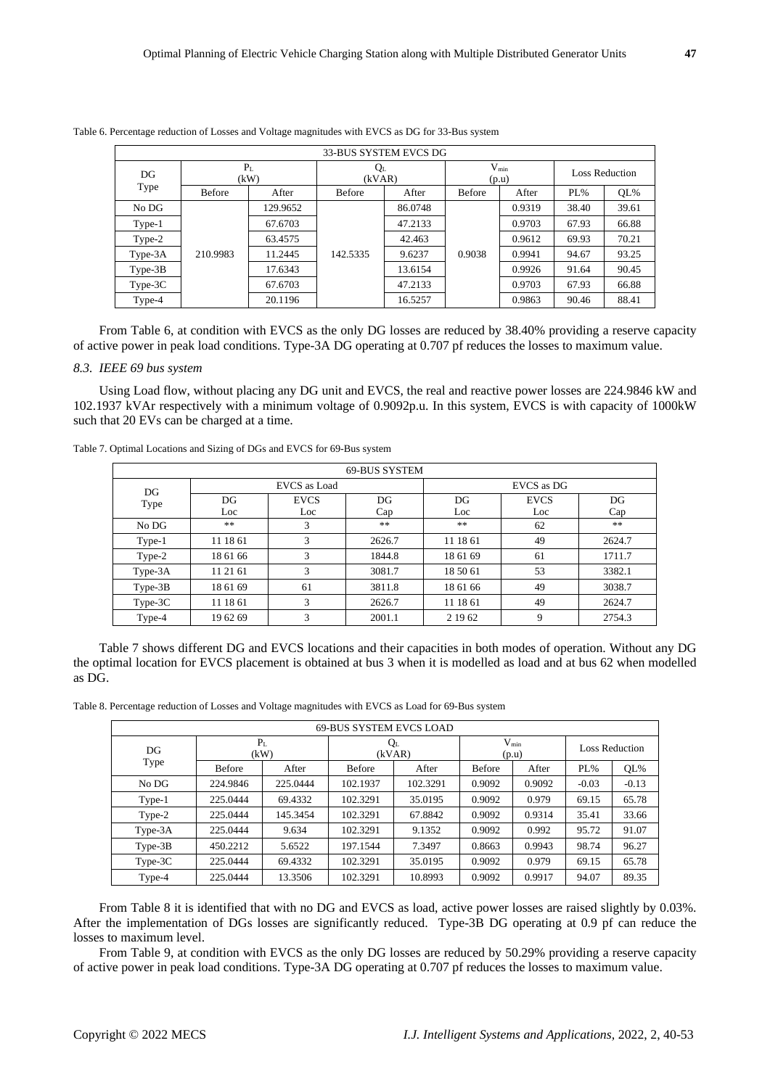|           |                        |          |               | 33-BUS SYSTEM EVCS DG |               |                    |                       |        |
|-----------|------------------------|----------|---------------|-----------------------|---------------|--------------------|-----------------------|--------|
| DG        | P <sub>L</sub><br>(kW) |          |               | $Q_L$<br>(kVAR)       |               | $V_{min}$<br>(p.u) | <b>Loss Reduction</b> |        |
| Type      | <b>Before</b>          | After    | <b>Before</b> | After                 | <b>Before</b> | After              | $PL\%$                | $QL\%$ |
| No DG     |                        | 129.9652 |               | 86.0748               |               | 0.9319             | 38.40                 | 39.61  |
| Type-1    |                        | 67.6703  |               | 47.2133               |               | 0.9703             | 67.93                 | 66.88  |
| Type-2    |                        | 63.4575  |               | 42.463                |               | 0.9612             | 69.93                 | 70.21  |
| Type-3A   | 210.9983               | 11.2445  | 142.5335      | 9.6237                | 0.9038        | 0.9941             | 94.67                 | 93.25  |
| $Type-3B$ |                        | 17.6343  |               | 13.6154               |               | 0.9926             | 91.64                 | 90.45  |
| Type-3C   |                        | 67.6703  |               | 47.2133               |               | 0.9703             | 67.93                 | 66.88  |
| Type-4    |                        | 20.1196  |               | 16.5257               |               | 0.9863             | 90.46                 | 88.41  |

Table 6. Percentage reduction of Losses and Voltage magnitudes with EVCS as DG for 33-Bus system

From Table 6, at condition with EVCS as the only DG losses are reduced by 38.40% providing a reserve capacity of active power in peak load conditions. Type-3A DG operating at 0.707 pf reduces the losses to maximum value.

#### *8.3. IEEE 69 bus system*

Using Load flow, without placing any DG unit and EVCS, the real and reactive power losses are 224.9846 kW and 102.1937 kVAr respectively with a minimum voltage of 0.9092p.u. In this system, EVCS is with capacity of 1000kW such that 20 EVs can be charged at a time.

| Table 7. Optimal Locations and Sizing of DGs and EVCS for 69-Bus system |  |  |
|-------------------------------------------------------------------------|--|--|
|-------------------------------------------------------------------------|--|--|

|           | 69-BUS SYSTEM |                     |        |            |             |        |  |  |  |  |
|-----------|---------------|---------------------|--------|------------|-------------|--------|--|--|--|--|
| DG        |               | <b>EVCS</b> as Load |        | EVCS as DG |             |        |  |  |  |  |
| Type      | DG            | <b>EVCS</b>         | DG     | DG         | <b>EVCS</b> | DG     |  |  |  |  |
|           | Loc           | Loc                 | Cap    | Loc        | Loc         | Cap    |  |  |  |  |
| No DG     | **            | 3                   | **     | **         | 62          | **     |  |  |  |  |
| Type-1    | 11 18 61      | 3                   | 2626.7 | 11 18 61   | 49          | 2624.7 |  |  |  |  |
| Type-2    | 18 61 66      | 3                   | 1844.8 | 18 61 69   | 61          | 1711.7 |  |  |  |  |
| Type-3A   | 11 21 61      | 3                   | 3081.7 | 18 50 61   | 53          | 3382.1 |  |  |  |  |
| $Type-3B$ | 18 61 69      | 61                  | 3811.8 | 18 61 66   | 49          | 3038.7 |  |  |  |  |
| $Type-3C$ | 11 18 61      | 3                   | 2626.7 | 11 18 61   | 49          | 2624.7 |  |  |  |  |
| Type-4    | 19 62 69      | 3                   | 2001.1 | 2 19 62    | 9           | 2754.3 |  |  |  |  |

Table 7 shows different DG and EVCS locations and their capacities in both modes of operation. Without any DG the optimal location for EVCS placement is obtained at bus 3 when it is modelled as load and at bus 62 when modelled as DG.

Table 8. Percentage reduction of Losses and Voltage magnitudes with EVCS as Load for 69-Bus system

|           |                        |          | 69-BUS SYSTEM EVCS LOAD |                 |               |                    |                       |         |
|-----------|------------------------|----------|-------------------------|-----------------|---------------|--------------------|-----------------------|---------|
| DG        | P <sub>L</sub><br>(kW) |          |                         | $Q_L$<br>(kVAR) |               | $V_{min}$<br>(p.u) | <b>Loss Reduction</b> |         |
| Type      | <b>Before</b>          | After    | <b>Before</b>           | After           | <b>Before</b> | After              | $PL\%$                | OL%     |
| No DG     | 224.9846               | 225.0444 | 102.1937                | 102.3291        | 0.9092        | 0.9092             | $-0.03$               | $-0.13$ |
| Type-1    | 225.0444               | 69.4332  | 102.3291                | 35.0195         | 0.9092        | 0.979              | 69.15                 | 65.78   |
| Type-2    | 225.0444               | 145.3454 | 102.3291                | 67.8842         | 0.9092        | 0.9314             | 35.41                 | 33.66   |
| $Type-3A$ | 225.0444               | 9.634    | 102.3291                | 9.1352          | 0.9092        | 0.992              | 95.72                 | 91.07   |
| $Type-3B$ | 450.2212               | 5.6522   | 197.1544                | 7.3497          | 0.8663        | 0.9943             | 98.74                 | 96.27   |
| $Type-3C$ | 225.0444               | 69.4332  | 102.3291                | 35.0195         | 0.9092        | 0.979              | 69.15                 | 65.78   |
| Type-4    | 225.0444               | 13.3506  | 102.3291                | 10.8993         | 0.9092        | 0.9917             | 94.07                 | 89.35   |

From Table 8 it is identified that with no DG and EVCS as load, active power losses are raised slightly by 0.03%. After the implementation of DGs losses are significantly reduced. Type-3B DG operating at 0.9 pf can reduce the losses to maximum level.

From Table 9, at condition with EVCS as the only DG losses are reduced by 50.29% providing a reserve capacity of active power in peak load conditions. Type-3A DG operating at 0.707 pf reduces the losses to maximum value.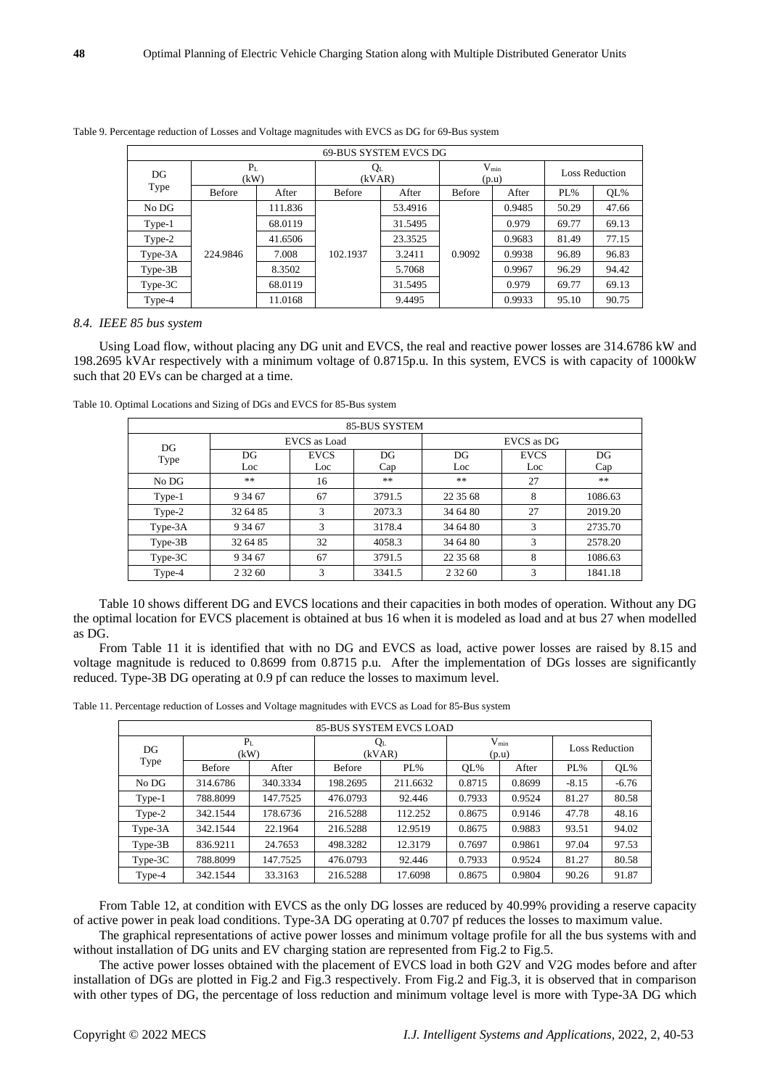|           |                        |         |               | 69-BUS SYSTEM EVCS DG |               |                    |                       |       |
|-----------|------------------------|---------|---------------|-----------------------|---------------|--------------------|-----------------------|-------|
| DG        | P <sub>L</sub><br>(kW) |         |               | QL<br>(kVAR)          |               | $V_{min}$<br>(p.u) | <b>Loss Reduction</b> |       |
| Type      | <b>Before</b>          | After   | <b>Before</b> | After                 | <b>Before</b> | After              | $PL\%$                | QL%   |
| No DG     |                        | 111.836 |               | 53.4916               |               | 0.9485             | 50.29                 | 47.66 |
| Type-1    |                        | 68.0119 |               | 31.5495               |               | 0.979              | 69.77                 | 69.13 |
| Type-2    |                        | 41.6506 |               | 23.3525               |               | 0.9683             | 81.49                 | 77.15 |
| Type-3A   | 224.9846               | 7.008   | 102.1937      | 3.2411                | 0.9092        | 0.9938             | 96.89                 | 96.83 |
| $Type-3B$ |                        | 8.3502  |               | 5.7068                |               | 0.9967             | 96.29                 | 94.42 |
| $Type-3C$ |                        | 68.0119 |               | 31.5495               |               | 0.979              | 69.77                 | 69.13 |
| Type-4    |                        | 11.0168 |               | 9.4495                |               | 0.9933             | 95.10                 | 90.75 |

Table 9. Percentage reduction of Losses and Voltage magnitudes with EVCS as DG for 69-Bus system

#### *8.4. IEEE 85 bus system*

Using Load flow, without placing any DG unit and EVCS, the real and reactive power losses are 314.6786 kW and 198.2695 kVAr respectively with a minimum voltage of 0.8715p.u. In this system, EVCS is with capacity of 1000kW such that 20 EVs can be charged at a time.

|           | 85-BUS SYSTEM |              |        |           |             |         |  |  |  |  |  |
|-----------|---------------|--------------|--------|-----------|-------------|---------|--|--|--|--|--|
| DG        |               | EVCS as Load |        |           | EVCS as DG  |         |  |  |  |  |  |
| Type      | DG            | <b>EVCS</b>  | DG     | DG        | <b>EVCS</b> | DG      |  |  |  |  |  |
|           | Loc           | Loc          | Cap    | Loc       | Loc         | Cap     |  |  |  |  |  |
| No DG     | **            | 16           | **     | $**$      | 27          | **      |  |  |  |  |  |
| Type-1    | 9 34 67       | 67           | 3791.5 | 22 35 68  | 8           | 1086.63 |  |  |  |  |  |
| Type-2    | 32 64 85      | 3            | 2073.3 | 34 64 80  | 27          | 2019.20 |  |  |  |  |  |
| Type-3A   | 9 34 67       | 3            | 3178.4 | 34 64 80  | 3           | 2735.70 |  |  |  |  |  |
| $Type-3B$ | 32 64 85      | 32           | 4058.3 | 34 64 80  | 3           | 2578.20 |  |  |  |  |  |
| $Type-3C$ | 9 34 67       | 67           | 3791.5 | 22 35 68  | 8           | 1086.63 |  |  |  |  |  |
| Type-4    | 2 3 2 6 0     | 3            | 3341.5 | 2 3 2 6 0 | 3           | 1841.18 |  |  |  |  |  |

Table 10. Optimal Locations and Sizing of DGs and EVCS for 85-Bus system

Table 10 shows different DG and EVCS locations and their capacities in both modes of operation. Without any DG the optimal location for EVCS placement is obtained at bus 16 when it is modeled as load and at bus 27 when modelled as DG.

From Table 11 it is identified that with no DG and EVCS as load, active power losses are raised by 8.15 and voltage magnitude is reduced to 0.8699 from 0.8715 p.u. After the implementation of DGs losses are significantly reduced. Type-3B DG operating at 0.9 pf can reduce the losses to maximum level.

Table 11. Percentage reduction of Losses and Voltage magnitudes with EVCS as Load for 85-Bus system

|           | <b>85-BUS SYSTEM EVCS LOAD</b> |          |                   |          |                    |        |                       |         |  |  |  |
|-----------|--------------------------------|----------|-------------------|----------|--------------------|--------|-----------------------|---------|--|--|--|
| DG        | P <sub>L</sub><br>(kW)         |          | $Q_{L}$<br>(kVAR) |          | $V_{min}$<br>(p.u) |        | <b>Loss Reduction</b> |         |  |  |  |
| Type      | <b>Before</b>                  | After    | <b>Before</b>     | $PL\%$   | OL%                | After  | $PL\%$                | $QL\%$  |  |  |  |
| No DG     | 314.6786                       | 340.3334 | 198.2695          | 211.6632 | 0.8715             | 0.8699 | $-8.15$               | $-6.76$ |  |  |  |
| Type-1    | 788.8099                       | 147.7525 | 476.0793          | 92.446   | 0.7933             | 0.9524 | 81.27                 | 80.58   |  |  |  |
| Type-2    | 342.1544                       | 178.6736 | 216.5288          | 112.252  | 0.8675             | 0.9146 | 47.78                 | 48.16   |  |  |  |
| Type-3A   | 342.1544                       | 22.1964  | 216.5288          | 12.9519  | 0.8675             | 0.9883 | 93.51                 | 94.02   |  |  |  |
| $Type-3B$ | 836.9211                       | 24.7653  | 498.3282          | 12.3179  | 0.7697             | 0.9861 | 97.04                 | 97.53   |  |  |  |
| $Type-3C$ | 788.8099                       | 147.7525 | 476.0793          | 92.446   | 0.7933             | 0.9524 | 81.27                 | 80.58   |  |  |  |
| Type-4    | 342.1544                       | 33.3163  | 216.5288          | 17.6098  | 0.8675             | 0.9804 | 90.26                 | 91.87   |  |  |  |

From Table 12, at condition with EVCS as the only DG losses are reduced by 40.99% providing a reserve capacity of active power in peak load conditions. Type-3A DG operating at 0.707 pf reduces the losses to maximum value.

The graphical representations of active power losses and minimum voltage profile for all the bus systems with and without installation of DG units and EV charging station are represented from Fig.2 to Fig.5.

The active power losses obtained with the placement of EVCS load in both G2V and V2G modes before and after installation of DGs are plotted in Fig.2 and Fig.3 respectively. From Fig.2 and Fig.3, it is observed that in comparison with other types of DG, the percentage of loss reduction and minimum voltage level is more with Type-3A DG which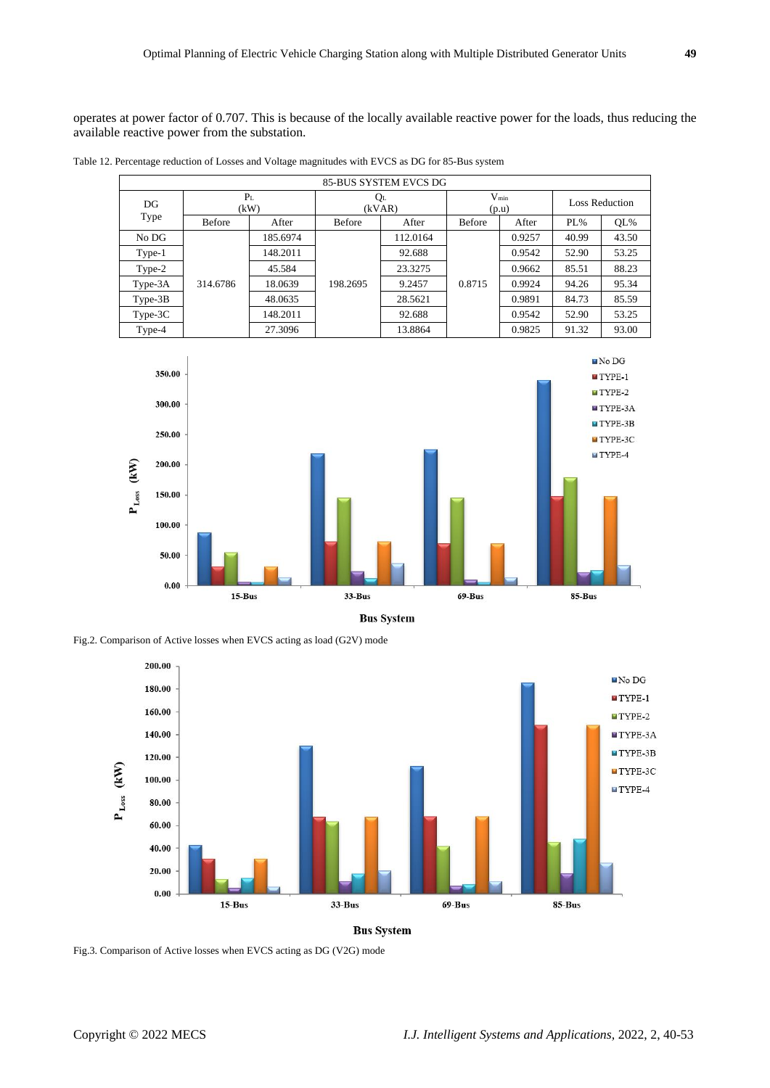operates at power factor of 0.707. This is because of the locally available reactive power for the loads, thus reducing the available reactive power from the substation.

Table 12. Percentage reduction of Losses and Voltage magnitudes with EVCS as DG for 85-Bus system

| 85-BUS SYSTEM EVCS DG |                        |          |                   |          |                    |        |                       |        |
|-----------------------|------------------------|----------|-------------------|----------|--------------------|--------|-----------------------|--------|
| DG<br>Type            | P <sub>L</sub><br>(kW) |          | $Q_{L}$<br>(kVAR) |          | $V_{min}$<br>(p.u) |        | <b>Loss Reduction</b> |        |
|                       | <b>Before</b>          | After    | <b>Before</b>     | After    | <b>Before</b>      | After  | $PL\%$                | $QL\%$ |
| No DG                 | 314.6786               | 185.6974 | 198.2695          | 112.0164 | 0.8715             | 0.9257 | 40.99                 | 43.50  |
| Type-1                |                        | 148.2011 |                   | 92.688   |                    | 0.9542 | 52.90                 | 53.25  |
| Type-2                |                        | 45.584   |                   | 23.3275  |                    | 0.9662 | 85.51                 | 88.23  |
| Type-3A               |                        | 18.0639  |                   | 9.2457   |                    | 0.9924 | 94.26                 | 95.34  |
| $Type-3B$             |                        | 48.0635  |                   | 28.5621  |                    | 0.9891 | 84.73                 | 85.59  |
| $Type-3C$             |                        | 148.2011 |                   | 92.688   |                    | 0.9542 | 52.90                 | 53.25  |
| Type-4                |                        | 27.3096  |                   | 13.8864  |                    | 0.9825 | 91.32                 | 93.00  |



**Bus System** 

Fig.2. Comparison of Active losses when EVCS acting as load (G2V) mode



Fig.3. Comparison of Active losses when EVCS acting as DG (V2G) mode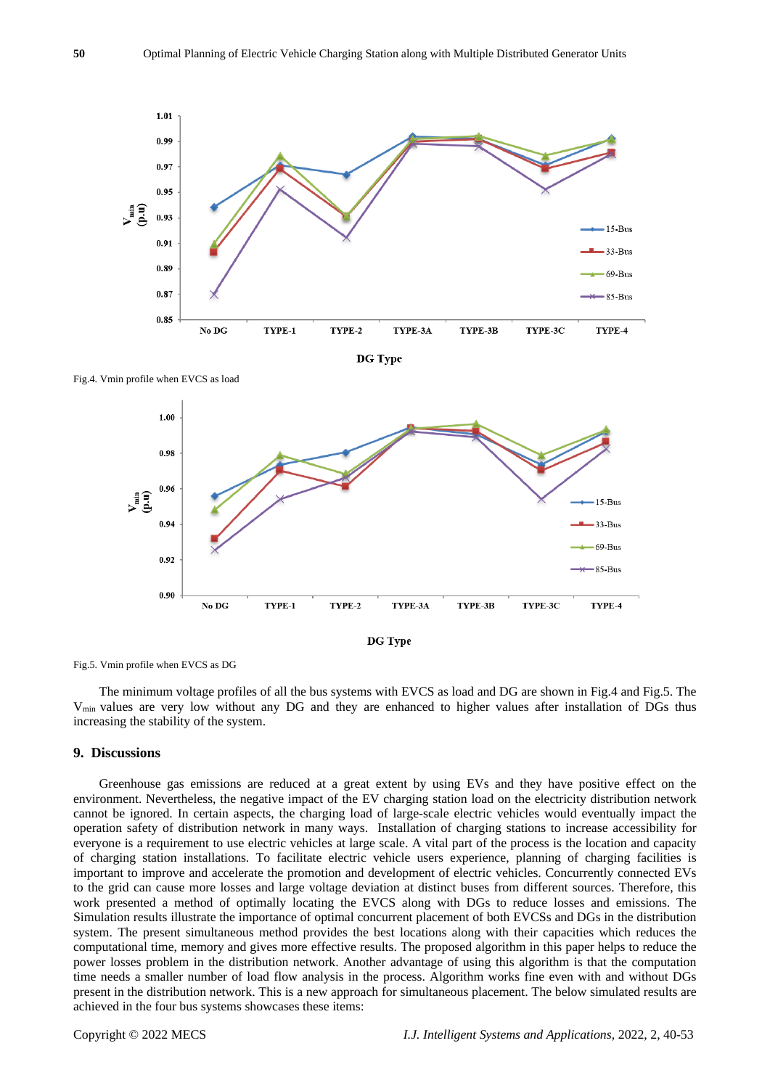

Fig.4. Vmin profile when EVCS as load



Fig.5. Vmin profile when EVCS as DG

The minimum voltage profiles of all the bus systems with EVCS as load and DG are shown in Fig.4 and Fig.5. The Vmin values are very low without any DG and they are enhanced to higher values after installation of DGs thus increasing the stability of the system.

#### **9. Discussions**

Greenhouse gas emissions are reduced at a great extent by using EVs and they have positive effect on the environment. Nevertheless, the negative impact of the EV charging station load on the electricity distribution network cannot be ignored. In certain aspects, the charging load of large-scale electric vehicles would eventually impact the operation safety of distribution network in many ways. Installation of charging stations to increase accessibility for everyone is a requirement to use electric vehicles at large scale. A vital part of the process is the location and capacity of charging station installations. To facilitate electric vehicle users experience, planning of charging facilities is important to improve and accelerate the promotion and development of electric vehicles. Concurrently connected EVs to the grid can cause more losses and large voltage deviation at distinct buses from different sources. Therefore, this work presented a method of optimally locating the EVCS along with DGs to reduce losses and emissions. The Simulation results illustrate the importance of optimal concurrent placement of both EVCSs and DGs in the distribution system. The present simultaneous method provides the best locations along with their capacities which reduces the computational time, memory and gives more effective results. The proposed algorithm in this paper helps to reduce the power losses problem in the distribution network. Another advantage of using this algorithm is that the computation time needs a smaller number of load flow analysis in the process. Algorithm works fine even with and without DGs present in the distribution network. This is a new approach for simultaneous placement. The below simulated results are achieved in the four bus systems showcases these items: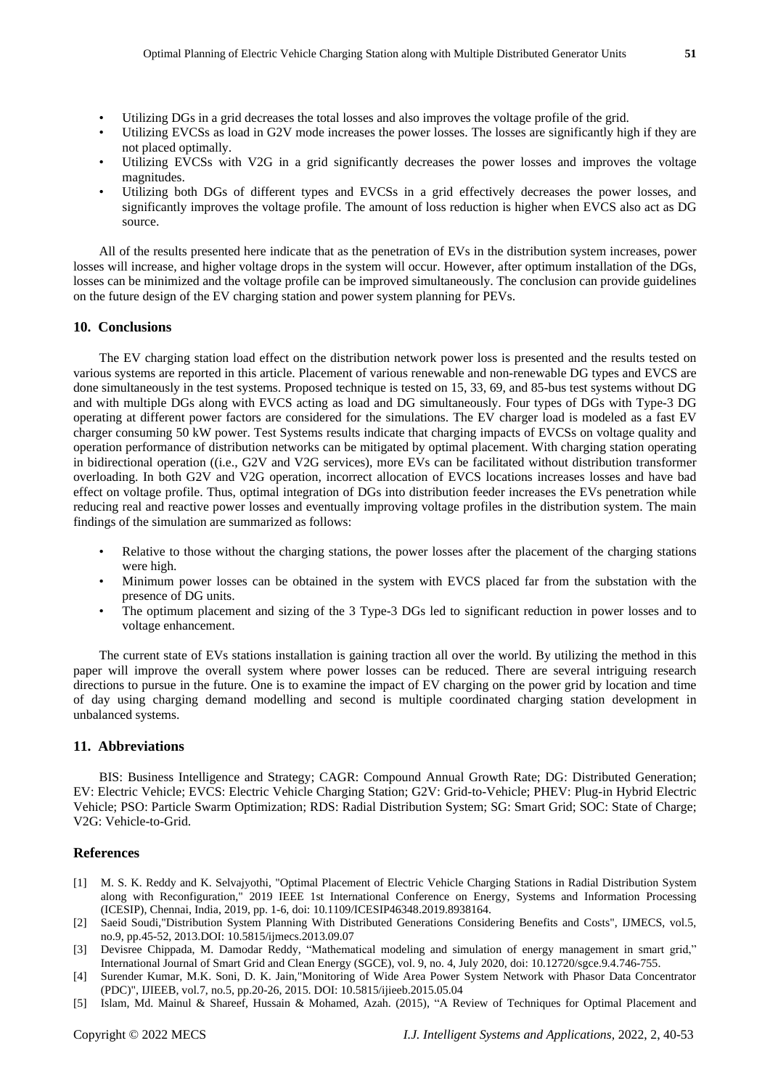- Utilizing DGs in a grid decreases the total losses and also improves the voltage profile of the grid.
- Utilizing EVCSs as load in G2V mode increases the power losses. The losses are significantly high if they are not placed optimally.
- Utilizing EVCSs with V2G in a grid significantly decreases the power losses and improves the voltage magnitudes.
- Utilizing both DGs of different types and EVCSs in a grid effectively decreases the power losses, and significantly improves the voltage profile. The amount of loss reduction is higher when EVCS also act as DG source.

All of the results presented here indicate that as the penetration of EVs in the distribution system increases, power losses will increase, and higher voltage drops in the system will occur. However, after optimum installation of the DGs, losses can be minimized and the voltage profile can be improved simultaneously. The conclusion can provide guidelines on the future design of the EV charging station and power system planning for PEVs.

# **10. Conclusions**

The EV charging station load effect on the distribution network power loss is presented and the results tested on various systems are reported in this article. Placement of various renewable and non-renewable DG types and EVCS are done simultaneously in the test systems. Proposed technique is tested on 15, 33, 69, and 85-bus test systems without DG and with multiple DGs along with EVCS acting as load and DG simultaneously. Four types of DGs with Type-3 DG operating at different power factors are considered for the simulations. The EV charger load is modeled as a fast EV charger consuming 50 kW power. Test Systems results indicate that charging impacts of EVCSs on voltage quality and operation performance of distribution networks can be mitigated by optimal placement. With charging station operating in bidirectional operation ((i.e., G2V and V2G services), more EVs can be facilitated without distribution transformer overloading. In both G2V and V2G operation, incorrect allocation of EVCS locations increases losses and have bad effect on voltage profile. Thus, optimal integration of DGs into distribution feeder increases the EVs penetration while reducing real and reactive power losses and eventually improving voltage profiles in the distribution system. The main findings of the simulation are summarized as follows:

- Relative to those without the charging stations, the power losses after the placement of the charging stations were high.
- Minimum power losses can be obtained in the system with EVCS placed far from the substation with the presence of DG units.
- The optimum placement and sizing of the 3 Type-3 DGs led to significant reduction in power losses and to voltage enhancement.

The current state of EVs stations installation is gaining traction all over the world. By utilizing the method in this paper will improve the overall system where power losses can be reduced. There are several intriguing research directions to pursue in the future. One is to examine the impact of EV charging on the power grid by location and time of day using charging demand modelling and second is multiple coordinated charging station development in unbalanced systems.

#### **11. Abbreviations**

BIS: Business Intelligence and Strategy; CAGR: Compound Annual Growth Rate; DG: Distributed Generation; EV: Electric Vehicle; EVCS: Electric Vehicle Charging Station; G2V: Grid-to-Vehicle; PHEV: Plug-in Hybrid Electric Vehicle; PSO: Particle Swarm Optimization; RDS: Radial Distribution System; SG: Smart Grid; SOC: State of Charge; V2G: Vehicle-to-Grid.

#### **References**

- [1] M. S. K. Reddy and K. Selvajyothi, "Optimal Placement of Electric Vehicle Charging Stations in Radial Distribution System along with Reconfiguration," 2019 IEEE 1st International Conference on Energy, Systems and Information Processing (ICESIP), Chennai, India, 2019, pp. 1-6, doi: 10.1109/ICESIP46348.2019.8938164.
- [2] Saeid Soudi,"Distribution System Planning With Distributed Generations Considering Benefits and Costs", IJMECS, vol.5, no.9, pp.45-52, 2013.DOI: 10.5815/ijmecs.2013.09.07
- [3] Devisree Chippada, M. Damodar Reddy, "Mathematical modeling and simulation of energy management in smart grid," International Journal of Smart Grid and Clean Energy (SGCE), vol. 9, no. 4, July 2020, doi: 10.12720/sgce.9.4.746-755.
- [4] Surender Kumar, M.K. Soni, D. K. Jain,"Monitoring of Wide Area Power System Network with Phasor Data Concentrator (PDC)", IJIEEB, vol.7, no.5, pp.20-26, 2015. DOI: 10.5815/ijieeb.2015.05.04
- [5] Islam, Md. Mainul & Shareef, Hussain & Mohamed, Azah. (2015), "A Review of Techniques for Optimal Placement and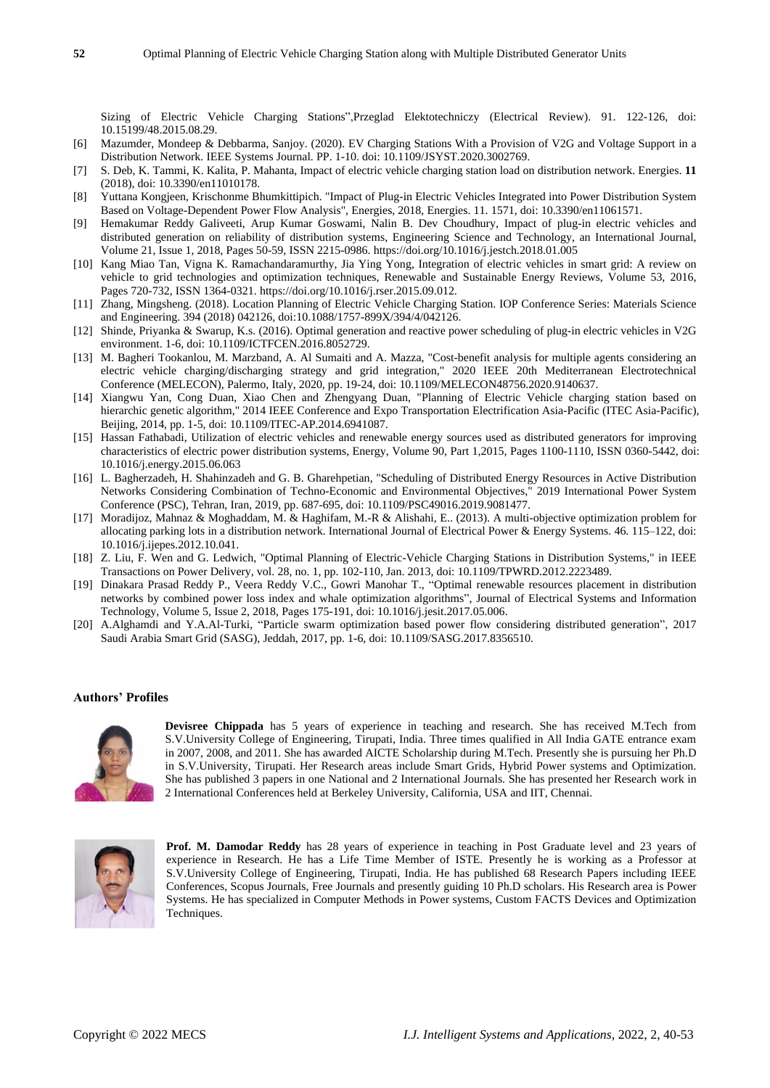Sizing of Electric Vehicle Charging Stations",Przeglad Elektotechniczy (Electrical Review). 91. 122-126, doi: [10.15199/48.2015.08.29.](https://www.researchgate.net/deref/http%3A%2F%2Fdx.doi.org%2F10.15199%2F48.2015.08.29)

- [6] Mazumder, Mondeep & Debbarma, Sanjoy. (2020). EV Charging Stations With a Provision of V2G and Voltage Support in a Distribution Network. IEEE Systems Journal. PP. 1-10. doi: 10.1109/JSYST.2020.3002769.
- [7] S. Deb, K. Tammi, K. Kalita, P. Mahanta, Impact of electric vehicle charging station load on distribution network. Energies. **11** (2018), doi: 10.3390/en11010178.
- [8] Yuttana Kongjeen, Krischonme Bhumkittipich. "Impact of Plug-in Electric Vehicles Integrated into Power Distribution System Based on Voltage-Dependent Power Flow Analysis", Energies, 2018, Energies. 11. 1571, doi: 10.3390/en11061571.
- [9] Hemakumar Reddy Galiveeti, Arup Kumar Goswami, Nalin B. Dev Choudhury, Impact of plug-in electric vehicles and distributed generation on reliability of distribution systems, Engineering Science and Technology, an International Journal, Volume 21, Issue 1, 2018, Pages 50-59, ISSN 2215-0986. https://doi.org/10.1016/j.jestch.2018.01.005
- [10] Kang Miao Tan, Vigna K. Ramachandaramurthy, Jia Ying Yong, Integration of electric vehicles in smart grid: A review on vehicle to grid technologies and optimization techniques, Renewable and Sustainable Energy Reviews, Volume 53, 2016, Pages 720-732, ISSN 1364-0321. https://doi.org/10.1016/j.rser.2015.09.012.
- [11] Zhang, Mingsheng. (2018). Location Planning of Electric Vehicle Charging Station. IOP Conference Series: Materials Science and Engineering. 394 (2018) 042126, doi:10.1088/1757-899X/394/4/042126.
- [12] Shinde, Priyanka & Swarup, K.s. (2016). Optimal generation and reactive power scheduling of plug-in electric vehicles in V2G environment. 1-6, doi: 10.1109/ICTFCEN.2016.8052729.
- [13] M. Bagheri Tookanlou, M. Marzband, A. Al Sumaiti and A. Mazza, "Cost-benefit analysis for multiple agents considering an electric vehicle charging/discharging strategy and grid integration," 2020 IEEE 20th Mediterranean Electrotechnical Conference (MELECON), Palermo, Italy, 2020, pp. 19-24, doi: 10.1109/MELECON48756.2020.9140637.
- [14] Xiangwu Yan, Cong Duan, Xiao Chen and Zhengyang Duan, "Planning of Electric Vehicle charging station based on hierarchic genetic algorithm," 2014 IEEE Conference and Expo Transportation Electrification Asia-Pacific (ITEC Asia-Pacific)*,* Beijing, 2014, pp. 1-5, doi: 10.1109/ITEC-AP.2014.6941087.
- [15] Hassan Fathabadi, Utilization of electric vehicles and renewable energy sources used as distributed generators for improving characteristics of electric power distribution systems, Energy, Volume 90, Part 1,2015, Pages 1100-1110, ISSN 0360-5442, doi: 10.1016/j.energy.2015.06.063
- [16] L. Bagherzadeh, H. Shahinzadeh and G. B. Gharehpetian, "Scheduling of Distributed Energy Resources in Active Distribution Networks Considering Combination of Techno-Economic and Environmental Objectives," 2019 International Power System Conference (PSC), Tehran, Iran, 2019, pp. 687-695, doi: 10.1109/PSC49016.2019.9081477.
- [17] Moradijoz, Mahnaz & Moghaddam, M. & Haghifam, M.-R & Alishahi, E.. (2013). A multi-objective optimization problem for allocating parking lots in a distribution network. International Journal of Electrical Power & Energy Systems. 46. 115–122, doi: 10.1016/j.ijepes.2012.10.041.
- [18] Z. Liu, F. Wen and G. Ledwich, "Optimal Planning of Electric-Vehicle Charging Stations in Distribution Systems," in IEEE Transactions on Power Delivery*,* vol. 28, no. 1, pp. 102-110, Jan. 2013, doi: 10.1109/TPWRD.2012.2223489.
- [19] Dinakara Prasad Reddy P., Veera Reddy V.C., Gowri Manohar T., "Optimal renewable resources placement in distribution networks by combined power loss index and whale optimization algorithms", Journal of Electrical Systems and Information Technology, Volume 5, Issue 2, 2018, Pages 175-191, doi: [10.1016/j.jesit.2017.05.006.](https://www.researchgate.net/deref/http%3A%2F%2Fdx.doi.org%2F10.1016%2Fj.jesit.2017.05.006)
- [20] A.Alghamdi and Y.A.Al-Turki, "Particle swarm optimization based power flow considering distributed generation", 2017 Saudi Arabia Smart Grid (SASG)*,* Jeddah, 2017, pp. 1-6, doi: 10.1109/SASG.2017.8356510.

#### **Authors' Profiles**



**Devisree Chippada** has 5 years of experience in teaching and research. She has received M.Tech from S.V.University College of Engineering, Tirupati, India. Three times qualified in All India GATE entrance exam in 2007, 2008, and 2011. She has awarded AICTE Scholarship during M.Tech. Presently she is pursuing her Ph.D in S.V.University, Tirupati. Her Research areas include Smart Grids, Hybrid Power systems and Optimization. She has published 3 papers in one National and 2 International Journals. She has presented her Research work in 2 International Conferences held at Berkeley University, California, USA and IIT, Chennai.



**Prof. M. Damodar Reddy** has 28 years of experience in teaching in Post Graduate level and 23 years of experience in Research. He has a Life Time Member of ISTE. Presently he is working as a Professor at S.V.University College of Engineering, Tirupati, India. He has published 68 Research Papers including IEEE Conferences, Scopus Journals, Free Journals and presently guiding 10 Ph.D scholars. His Research area is Power Systems. He has specialized in Computer Methods in Power systems, Custom FACTS Devices and Optimization Techniques.